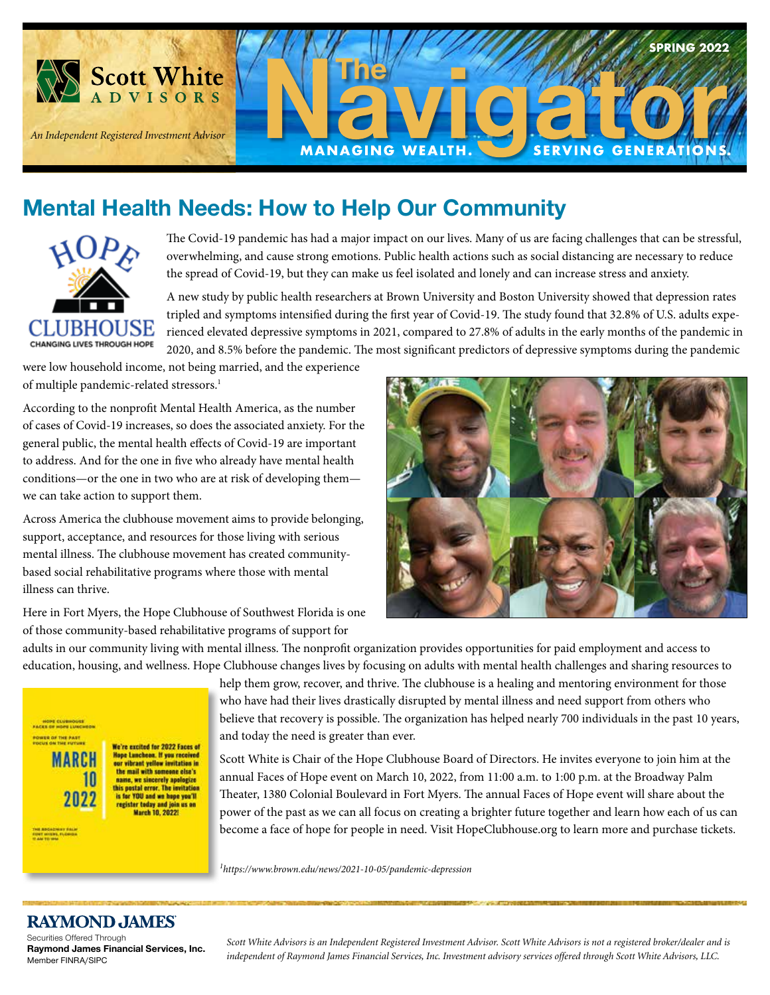

# **Mental Health Needs: How to Help Our Community**



**International Control Product** Control Product Control Product Control Product Control Product Control Product Control Product Control Product Control Product Control Product Control Product Control Product Control Produc overwhelming, and cause strong emotions. Public health actions such as social distancing are necessary to reduce the spread of Covid-19, but they can make us feel isolated and lonely and can increase stress and anxiety. The Covid-19 pandemic has had a major impact on our lives. Many of us are facing challenges that can be stressful,

A new study by public health researchers at Brown University and Boston University showed that depression rates tripled and symptoms intensified during the first year of Covid-19. The study found that 32.8% of U.S. adults experienced elevated depressive symptoms in 2021, compared to 27.8% of adults in the early months of the pandemic in 2020, and 8.5% before the pandemic. The most significant predictors of depressive symptoms during the pandemic

e low household income, n of multiple pandemic-related stressors.<sup>1</sup> were low household income, not being married, and the experience

According to the nonprofit Mental Health America, as the number of cases of Covid-19 increases, so does the associated anxiety. For the general public, the mental health effects of Covid-19 are important to address. And for the one in five who already have mental health  $\mu$ uuons on ur on  $\mu$ we can take action to support them. conditions—or the one in two who are at risk of developing them— **Special Guest & Moderator**

Across America the clubhouse movement aims to provide belonging, support, acceptance, and resources for those living with serious mental illness. The clubhouse movement has created community-<br> based social rehabilitative programs where those with mental illness can thrive.

Here in Fort Myers, the Hope Clubhouse of Southwest Florida is one of those community-based rehabilitative programs of support for



adults in our community living with mental illness. The nonprofit organization provides opportunities for paid employment and access to education, housing, and wellness. Hope Clubhouse changes lives by focusing on adults with mental health challenges and sharing resources to



help them grow, recover, and thrive. The clubhouse is a healing and mentoring environment for those who have had their lives drastically disrupted by mental illness and need support from others who believe that recovery is possible. The organization has helped nearly 700 individuals in the past 10 years, and today the need is greater than ever.

Scott White is Chair of the Hope Clubhouse Board of Directors. He invites everyone to join him at the annual Faces of Hope event on March 10, 2022, from 11:00 a.m. to 1:00 p.m. at the Broadway Palm Theater, 1380 Colonial Boulevard in Fort Myers. The annual Faces of Hope event will share about the power of the past as we can all focus on creating a brighter future together and learn how each of us can become a face of hope for people in need. Visit HopeClubhouse.org to learn more and purchase tickets.

*1 https://www.brown.edu/news/2021-10-05/pandemic-depression*

### **RAYMOND JAMES**

Securities Offered Through **Raymond James Financial Services, Inc.**  Member FINRA/SIPC

*Scott White Advisors is an Independent Registered Investment Advisor. Scott White Advisors is not a registered broker/dealer and is independent of Raymond James Financial Services, Inc. Investment advisory services offered through Scott White Advisors, LLC.*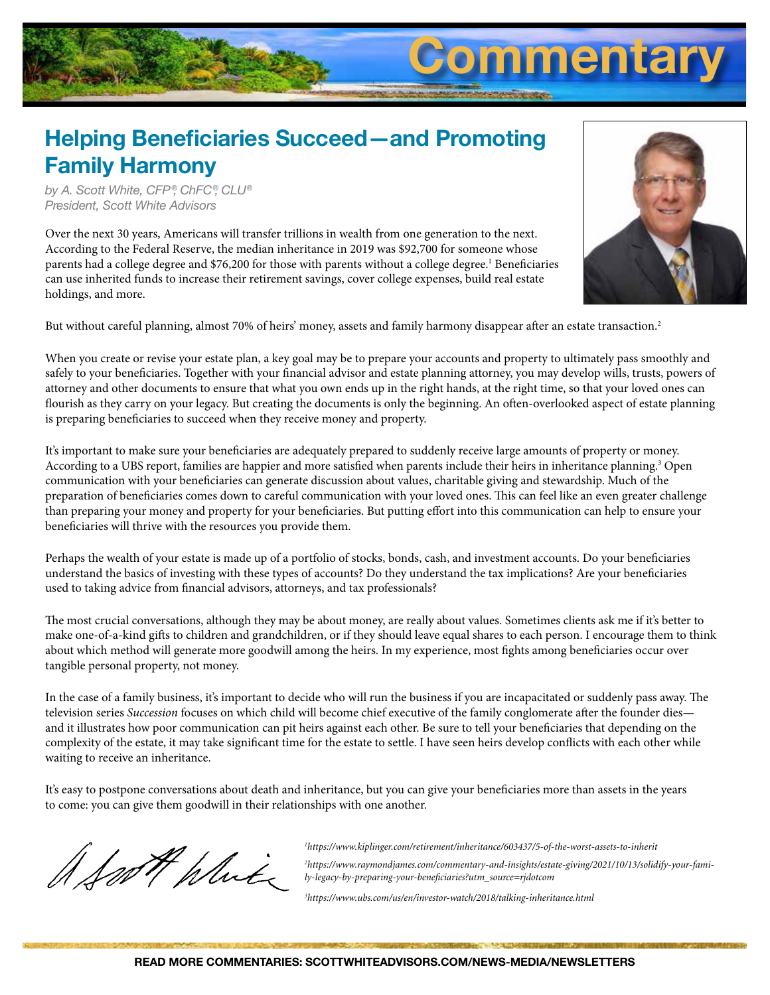

### **Helping Beneficiaries Succeed—and Promoting Family Harmony**

*by A. Scott White, CFP ®, ChFC®, CLU® President, Scott White Advisors*

Over the next 30 years, Americans will transfer trillions in wealth from one generation to the next. According to the Federal Reserve, the median inheritance in 2019 was \$92,700 for someone whose parents had a college degree and \$76,200 for those with parents without a college degree.<sup>1</sup> Beneficiaries can use inherited funds to increase their retirement savings, cover college expenses, build real estate holdings, and more.



But without careful planning, almost 70% of heirs' money, assets and family harmony disappear after an estate transaction.<sup>2</sup>

When you create or revise your estate plan, a key goal may be to prepare your accounts and property to ultimately pass smoothly and safely to your beneficiaries. Together with your financial advisor and estate planning attorney, you may develop wills, trusts, powers of attorney and other documents to ensure that what you own ends up in the right hands, at the right time, so that your loved ones can flourish as they carry on your legacy. But creating the documents is only the beginning. An often-overlooked aspect of estate planning is preparing beneficiaries to succeed when they receive money and property.

It's important to make sure your beneficiaries are adequately prepared to suddenly receive large amounts of property or money. According to a UBS report, families are happier and more satisfied when parents include their heirs in inheritance planning.<sup>3</sup> Open communication with your beneficiaries can generate discussion about values, charitable giving and stewardship. Much of the preparation of beneficiaries comes down to careful communication with your loved ones. This can feel like an even greater challenge than preparing your money and property for your beneficiaries. But putting effort into this communication can help to ensure your beneficiaries will thrive with the resources you provide them.

Perhaps the wealth of your estate is made up of a portfolio of stocks, bonds, cash, and investment accounts. Do your beneficiaries understand the basics of investing with these types of accounts? Do they understand the tax implications? Are your beneficiaries used to taking advice from financial advisors, attorneys, and tax professionals?

The most crucial conversations, although they may be about money, are really about values. Sometimes clients ask me if it's better to make one-of-a-kind gifts to children and grandchildren, or if they should leave equal shares to each person. I encourage them to think about which method will generate more goodwill among the heirs. In my experience, most fights among beneficiaries occur over tangible personal property, not money.

In the case of a family business, it's important to decide who will run the business if you are incapacitated or suddenly pass away. The television series *Succession* focuses on which child will become chief executive of the family conglomerate after the founder dies and it illustrates how poor communication can pit heirs against each other. Be sure to tell your beneficiaries that depending on the complexity of the estate, it may take significant time for the estate to settle. I have seen heirs develop conflicts with each other while waiting to receive an inheritance.

It's easy to postpone conversations about death and inheritance, but you can give your beneficiaries more than assets in the years to come: you can give them goodwill in their relationships with one another.

A Soft White

*1 https://www.kiplinger.com/retirement/inheritance/603437/5-of-the-worst-assets-to-inherit 2 https://www.raymondjames.com/commentary-and-insights/estate-giving/2021/10/13/solidify-your-family-legacy-by-preparing-your-beneficiaries?utm\_source=rjdotcom*

*3 https://www.ubs.com/us/en/investor-watch/2018/talking-inheritance.html*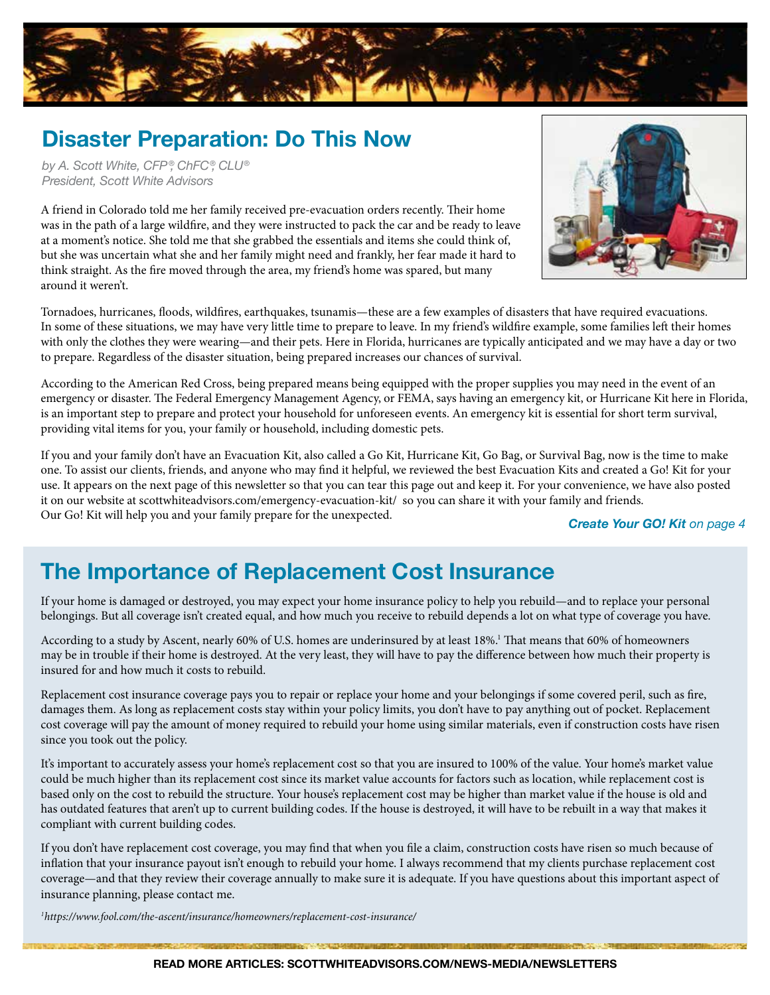

### **Disaster Preparation: Do This Now**

*by A. Scott White, CFP ®, ChFC®, CLU® President, Scott White Advisors*

A friend in Colorado told me her family received pre-evacuation orders recently. Their home was in the path of a large wildfire, and they were instructed to pack the car and be ready to leave at a moment's notice. She told me that she grabbed the essentials and items she could think of, but she was uncertain what she and her family might need and frankly, her fear made it hard to think straight. As the fire moved through the area, my friend's home was spared, but many around it weren't.



Tornadoes, hurricanes, floods, wildfires, earthquakes, tsunamis—these are a few examples of disasters that have required evacuations. In some of these situations, we may have very little time to prepare to leave. In my friend's wildfire example, some families left their homes with only the clothes they were wearing—and their pets. Here in Florida, hurricanes are typically anticipated and we may have a day or two to prepare. Regardless of the disaster situation, being prepared increases our chances of survival.

According to the American Red Cross, being prepared means being equipped with the proper supplies you may need in the event of an emergency or disaster. The Federal Emergency Management Agency, or FEMA, says having an emergency kit, or Hurricane Kit here in Florida, is an important step to prepare and protect your household for unforeseen events. An emergency kit is essential for short term survival, providing vital items for you, your family or household, including domestic pets.

If you and your family don't have an Evacuation Kit, also called a Go Kit, Hurricane Kit, Go Bag, or Survival Bag, now is the time to make one. To assist our clients, friends, and anyone who may find it helpful, we reviewed the best Evacuation Kits and created a Go! Kit for your use. It appears on the next page of this newsletter so that you can tear this page out and keep it. For your convenience, we have also posted it on our website at scottwhiteadvisors.com/emergency-evacuation-kit/ so you can share it with your family and friends. Our Go! Kit will help you and your family prepare for the unexpected. *Create Your GO! Kit on page 4*

### **The Importance of Replacement Cost Insurance**

If your home is damaged or destroyed, you may expect your home insurance policy to help you rebuild—and to replace your personal belongings. But all coverage isn't created equal, and how much you receive to rebuild depends a lot on what type of coverage you have.

According to a study by Ascent, nearly 60% of U.S. homes are underinsured by at least 18%.<sup>1</sup> That means that 60% of homeowners may be in trouble if their home is destroyed. At the very least, they will have to pay the difference between how much their property is insured for and how much it costs to rebuild.

Replacement cost insurance coverage pays you to repair or replace your home and your belongings if some covered peril, such as fire, damages them. As long as replacement costs stay within your policy limits, you don't have to pay anything out of pocket. Replacement cost coverage will pay the amount of money required to rebuild your home using similar materials, even if construction costs have risen since you took out the policy.

It's important to accurately assess your home's replacement cost so that you are insured to 100% of the value. Your home's market value could be much higher than its replacement cost since its market value accounts for factors such as location, while replacement cost is based only on the cost to rebuild the structure. Your house's replacement cost may be higher than market value if the house is old and has outdated features that aren't up to current building codes. If the house is destroyed, it will have to be rebuilt in a way that makes it compliant with current building codes.

If you don't have replacement cost coverage, you may find that when you file a claim, construction costs have risen so much because of inflation that your insurance payout isn't enough to rebuild your home. I always recommend that my clients purchase replacement cost coverage—and that they review their coverage annually to make sure it is adequate. If you have questions about this important aspect of insurance planning, please contact me.

*1 https://www.fool.com/the-ascent/insurance/homeowners/replacement-cost-insurance/*

**ПАССИЛИЗИРЕВАКТ - ЛИЧЕСКИ ВИЗИЛИЯ И 20**